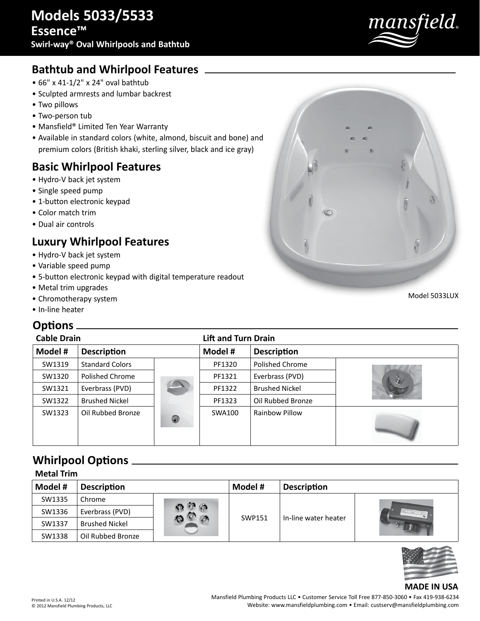

## **Bathtub and Whirlpool Features**

- 66" x 41-1/2" x 24" oval bathtub
- Sculpted armrests and lumbar backrest
- Two pillows
- Two-person tub
- Mansfield® Limited Ten Year Warranty
- Available in standard colors (white, almond, biscuit and bone) and premium colors (British khaki, sterling silver, black and ice gray)

### **Basic Whirlpool Features**

- Hydro-V back jet system
- Single speed pump
- 1-button electronic keypad
- Color match trim
- Dual air controls

# **Luxury Whirlpool Features**

- Hydro-V back jet system
- Variable speed pump
- 5-button electronic keypad with digital temperature readout
- Metal trim upgrades
- Chromotherapy system
- In-line heater

#### **Options**

| <b>Cable Drain</b> |                        |                | <b>Lift and Turn Drain</b> |                       |      |
|--------------------|------------------------|----------------|----------------------------|-----------------------|------|
| Model #            | <b>Description</b>     |                | Model #                    | <b>Description</b>    |      |
| SW1319             | <b>Standard Colors</b> |                | PF1320                     | Polished Chrome       |      |
| SW1320             | Polished Chrome        |                | PF1321                     | Everbrass (PVD)       | کی ا |
| SW1321             | Everbrass (PVD)        |                | PF1322                     | <b>Brushed Nickel</b> |      |
| SW1322             | <b>Brushed Nickel</b>  |                | PF1323                     | Oil Rubbed Bronze     |      |
| SW1323             | Oil Rubbed Bronze      | $\circledcirc$ | SWA100                     | Rainbow Pillow        |      |

## **Whirlpool Options**

| <b>Metal Trim</b> |                       |    |         |                      |  |  |
|-------------------|-----------------------|----|---------|----------------------|--|--|
| Model #           | <b>Description</b>    |    | Model # | <b>Description</b>   |  |  |
| SW1335            | Chrome                | 'n | SWP151  | In-line water heater |  |  |
| SW1336            | Everbrass (PVD)       |    |         |                      |  |  |
| SW1337            | <b>Brushed Nickel</b> |    |         |                      |  |  |
| SW1338            | Oil Rubbed Bronze     |    |         |                      |  |  |



#### **MADE IN USA**

Model 5033LUX